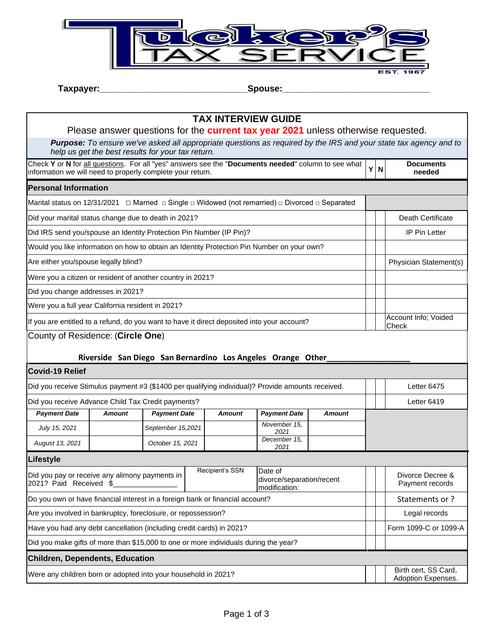

**Taxpayer:\_\_\_\_\_\_\_\_\_\_\_\_\_\_\_\_\_\_\_\_\_\_\_\_\_\_\_\_\_\_Spouse:\_\_\_\_\_\_\_\_\_\_\_\_\_\_\_\_\_\_\_\_\_\_\_\_\_\_\_\_\_\_**

## **TAX INTERVIEW GUIDE** Please answer questions for the **current tax year 2021** unless otherwise requested. *Purpose: To ensure we've asked all appropriate questions as required by the IRS and your state tax agency and to help us get the best results for your tax return.* Check **Y** or **N** for all questions. For all "yes" answers see the "**Documents needed**" column to see what information we will need to properly complete your return. **Documents needed Personal Information** Marital status on 12/31/2021 □ Married □ Single □ Widowed (not remarried) □ Divorced □ Separated Did your marital status change due to death in 2021? **Death Certificate Discussed Accord 2021** Death Certificate Did IRS send you/spouse an Identity Protection Pin Number (IP Pin)? IP Pin Letter Would you like information on how to obtain an Identity Protection Pin Number on your own? Are either you/spouse legally blind? Physician Statement(s) and the statement of the statement of the statement of the statement of the statement of the statement of the statement of the statement of the statement of the s Were you a citizen or resident of another country in 2021? Did you change addresses in 2021? Were you a full year California resident in 2021? If you are entitled to a refund, do you want to have it direct deposited into your account? Check County of Residence: (**Circle One**) Riverside San Diego San Bernardino Los Angeles Orange Other **Covid-19 Relief** Did you receive Stimulus payment #3 (\$1400 per qualifying individual)? Provide amounts received. <br> Did you receive Advance Child Tax Credit payments? Letter 6419 *Payment Date Amount Payment Date Amount Payment Date Amount July 15, 2021* **September 15,2021** *November 15, 2021 2021 August 13, 2021 October 15, 2021 December 15, 2021* **Lifestyle** Did you pay or receive any alimony payments in 2021? Paid Received \$ Recipient's SSN Date of divorce/separation/recent modification: Divorce Decree & Payment records Do you own or have financial interest in a foreign bank or financial account? Statements or and the Statements or ? Are you involved in bankruptcy, foreclosure, or repossession? Legal records Have you had any debt cancellation (including credit cards) in 2021? **Form 1099-C** or 1099-A Did you make gifts of more than \$15,000 to one or more individuals during the year? **Children, Dependents, Education** Were any children born or adopted into your household in 2021?  $\blacksquare$  Birth cert, SS Card, Adoption Expenses.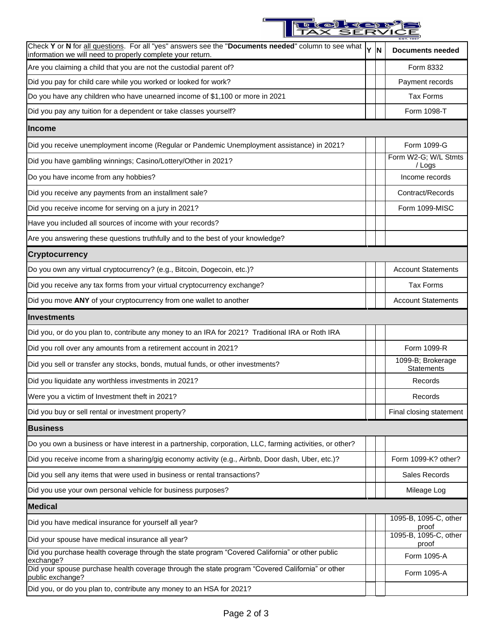

| Check Y or N for all questions. For all "yes" answers see the "Documents needed" column to see what<br>information we will need to properly complete your return. | Y N | <b>Documents needed</b>                |
|-------------------------------------------------------------------------------------------------------------------------------------------------------------------|-----|----------------------------------------|
| Are you claiming a child that you are not the custodial parent of?                                                                                                |     | Form 8332                              |
| Did you pay for child care while you worked or looked for work?                                                                                                   |     | Payment records                        |
| Do you have any children who have unearned income of \$1,100 or more in 2021                                                                                      |     | <b>Tax Forms</b>                       |
| Did you pay any tuition for a dependent or take classes yourself?                                                                                                 |     | Form 1098-T                            |
| <b>Income</b>                                                                                                                                                     |     |                                        |
| Did you receive unemployment income (Regular or Pandemic Unemployment assistance) in 2021?                                                                        |     | Form 1099-G                            |
| Did you have gambling winnings; Casino/Lottery/Other in 2021?                                                                                                     |     | Form W2-G; W/L Stmts<br>/ Logs         |
| Do you have income from any hobbies?                                                                                                                              |     | Income records                         |
| Did you receive any payments from an installment sale?                                                                                                            |     | Contract/Records                       |
| Did you receive income for serving on a jury in 2021?                                                                                                             |     | Form 1099-MISC                         |
| Have you included all sources of income with your records?                                                                                                        |     |                                        |
| Are you answering these questions truthfully and to the best of your knowledge?                                                                                   |     |                                        |
| <b>Cryptocurrency</b>                                                                                                                                             |     |                                        |
| Do you own any virtual cryptocurrency? (e.g., Bitcoin, Dogecoin, etc.)?                                                                                           |     | <b>Account Statements</b>              |
| Did you receive any tax forms from your virtual cryptocurrency exchange?                                                                                          |     | <b>Tax Forms</b>                       |
| Did you move ANY of your cryptocurrency from one wallet to another                                                                                                |     | <b>Account Statements</b>              |
| Investments                                                                                                                                                       |     |                                        |
| Did you, or do you plan to, contribute any money to an IRA for 2021? Traditional IRA or Roth IRA                                                                  |     |                                        |
| Did you roll over any amounts from a retirement account in 2021?                                                                                                  |     | Form 1099-R                            |
| Did you sell or transfer any stocks, bonds, mutual funds, or other investments?                                                                                   |     | 1099-B; Brokerage<br><b>Statements</b> |
| Did you liquidate any worthless investments in 2021?                                                                                                              |     | Records                                |
| Were you a victim of Investment theft in 2021?                                                                                                                    |     | Records                                |
| Did you buy or sell rental or investment property?                                                                                                                |     | Final closing statement                |
| <b>Business</b>                                                                                                                                                   |     |                                        |
| Do you own a business or have interest in a partnership, corporation, LLC, farming activities, or other?                                                          |     |                                        |
| Did you receive income from a sharing/gig economy activity (e.g., Airbnb, Door dash, Uber, etc.)?                                                                 |     | Form 1099-K? other?                    |
| Did you sell any items that were used in business or rental transactions?                                                                                         |     | Sales Records                          |
| Did you use your own personal vehicle for business purposes?                                                                                                      |     | Mileage Log                            |
| <b>Medical</b>                                                                                                                                                    |     |                                        |
| Did you have medical insurance for yourself all year?                                                                                                             |     | 1095-B, 1095-C, other<br>proof         |
| Did your spouse have medical insurance all year?                                                                                                                  |     | 1095-B, 1095-C, other<br>proof         |
| Did you purchase health coverage through the state program "Covered California" or other public<br>exchange?                                                      |     | Form 1095-A                            |
| Did your spouse purchase health coverage through the state program "Covered California" or other<br>public exchange?                                              |     | Form 1095-A                            |
| Did you, or do you plan to, contribute any money to an HSA for 2021?                                                                                              |     |                                        |

D